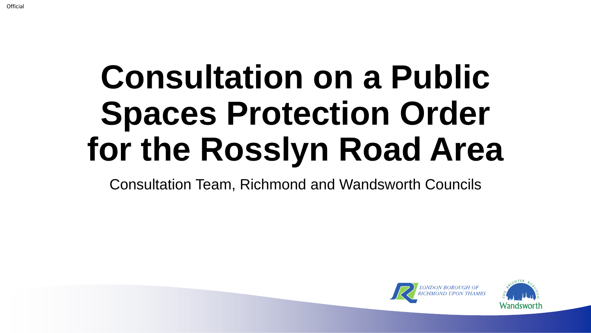# **Consultation on a Public Spaces Protection Order for the Rosslyn Road Area**

Consultation Team, Richmond and Wandsworth Councils



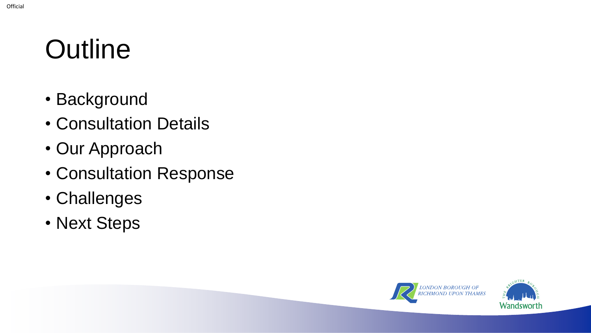### **Outline**

- Background
- Consultation Details
- Our Approach
- Consultation Response
- Challenges
- Next Steps



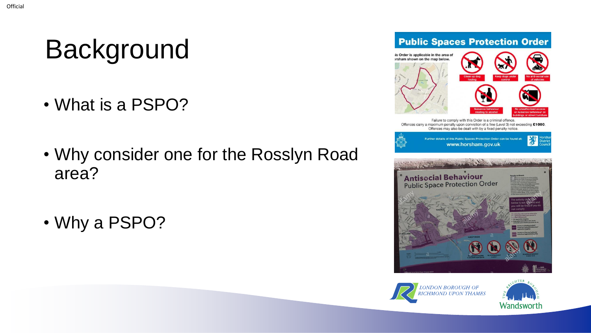# Background

- What is a PSPO?
- Why consider one for the Rosslyn Road area?
- Why a PSPO?





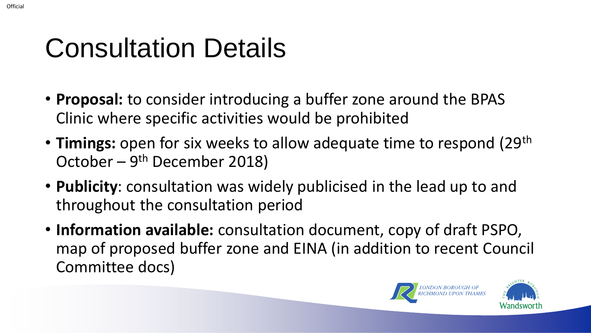#### Consultation Details

- **Proposal:** to consider introducing a buffer zone around the BPAS Clinic where specific activities would be prohibited
- **Timings:** open for six weeks to allow adequate time to respond (29<sup>th</sup>) October – 9<sup>th</sup> December 2018)
- **Publicity**: consultation was widely publicised in the lead up to and throughout the consultation period
- **Information available:** consultation document, copy of draft PSPO, map of proposed buffer zone and EINA (in addition to recent Council Committee docs)



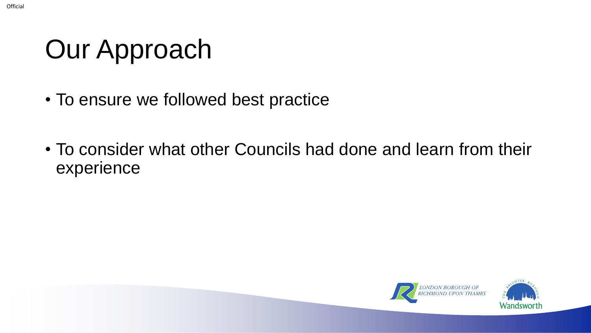# Our Approach

- To ensure we followed best practice
- To consider what other Councils had done and learn from their experience



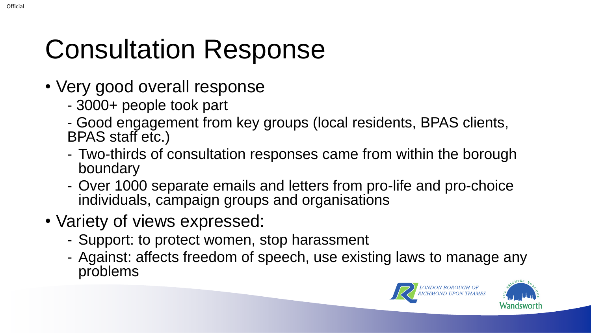# Consultation Response

- Very good overall response
	- 3000+ people took part
	- Good engagement from key groups (local residents, BPAS clients, BPAS staff etc.)
	- Two-thirds of consultation responses came from within the borough boundary
	- Over 1000 separate emails and letters from pro-life and pro-choice individuals, campaign groups and organisations
- Variety of views expressed:
	- Support: to protect women, stop harassment
	- Against: affects freedom of speech, use existing laws to manage any problems



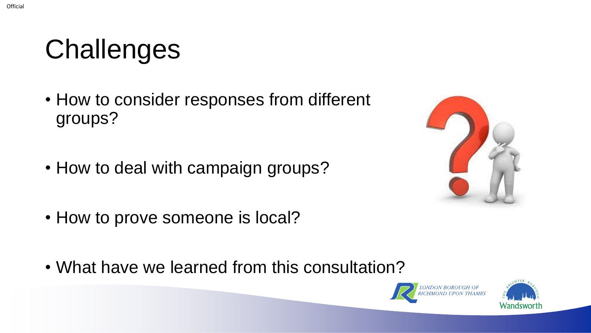### **Challenges**

- How to consider responses from different groups?
- How to deal with campaign groups?



- How to prove someone is local?
- What have we learned from this consultation?